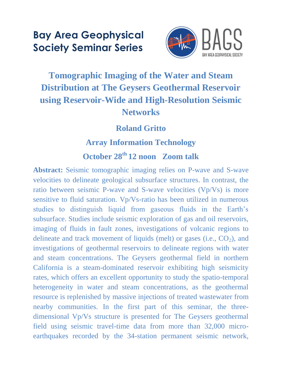# **Bay Area Geophysical Society Seminar Series**



## **Tomographic Imaging of the Water and Steam Distribution at The Geysers Geothermal Reservoir using Reservoir-Wide and High-Resolution Seismic Networks**

#### **Roland Gritto**

#### **Array Information Technology**

### **October 28th 12 noon Zoom talk**

**Abstract:** Seismic tomographic imaging relies on P-wave and S-wave velocities to delineate geological subsurface structures. In contrast, the ratio between seismic P-wave and S-wave velocities (Vp/Vs) is more sensitive to fluid saturation. Vp/Vs-ratio has been utilized in numerous studies to distinguish liquid from gaseous fluids in the Earth's subsurface. Studies include seismic exploration of gas and oil reservoirs, imaging of fluids in fault zones, investigations of volcanic regions to delineate and track movement of liquids (melt) or gases (i.e.,  $CO<sub>2</sub>$ ), and investigations of geothermal reservoirs to delineate regions with water and steam concentrations. The Geysers geothermal field in northern California is a steam-dominated reservoir exhibiting high seismicity rates, which offers an excellent opportunity to study the spatio-temporal heterogeneity in water and steam concentrations, as the geothermal resource is replenished by massive injections of treated wastewater from nearby communities. In the first part of this seminar, the threedimensional Vp/Vs structure is presented for The Geysers geothermal field using seismic travel-time data from more than 32,000 microearthquakes recorded by the 34-station permanent seismic network,